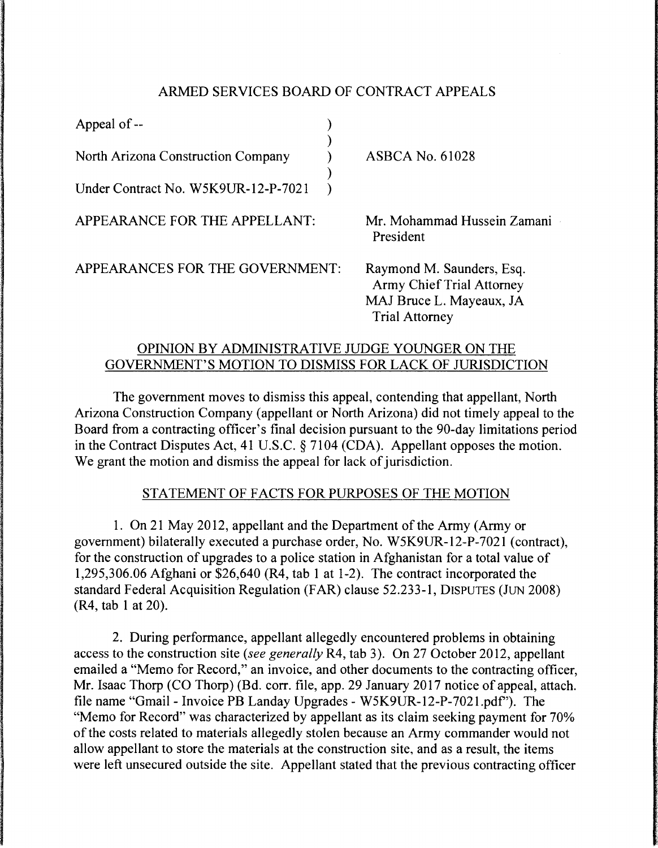## ARMED SERVICES BOARD OF CONTRACT APPEALS

| Appeal of --                        |                                                               |  |
|-------------------------------------|---------------------------------------------------------------|--|
| North Arizona Construction Company  | <b>ASBCA No. 61028</b>                                        |  |
| Under Contract No. W5K9UR-12-P-7021 |                                                               |  |
| APPEARANCE FOR THE APPELLANT:       | Mr. Mohammad Hussein Zamani<br>President                      |  |
| APPEARANCES FOR THE GOVERNMENT:     | Raymond M. Saunders, Esq.<br><b>Army Chief Trial Attorney</b> |  |
|                                     | MAJ Bruce L. Mayeaux, JA<br><b>Trial Attorney</b>             |  |

# OPINION BY ADMINISTRATIVE JUDGE YOUNGER ON THE GOVERNMENT'S MOTION TO DISMISS FOR LACK OF JURISDICTION

The government moves to dismiss this appeal, contending that appellant, North Arizona Construction Company (appellant or North Arizona) did not timely appeal to the Board from a contracting officer's final decision pursuant to the 90-day limitations period in the Contract Disputes Act, 41 U.S.C. § 7104 (CDA). Appellant opposes the motion. We grant the motion and dismiss the appeal for lack of jurisdiction.

### STATEMENT OF FACTS FOR PURPOSES OF THE MOTION

1. On 21 May 2012, appellant and the Department of the Army (Army or government) bilaterally executed a purchase order, No. W5K9UR-12-P-7021 (contract), for the construction of upgrades to a police station in Afghanistan for a total value of 1,295,306.06 Afghani or \$26,640 (R4, tab 1 at 1-2). The contract incorporated the standard Federal Acquisition Regulation (FAR) clause 52.233-1, DISPUTES (JUN 2008) (R4, tab 1 at 20).

2. During performance, appellant allegedly encountered problems in obtaining access to the construction site *(see generally* R4, tab 3). On 27 October 2012, appellant emailed a "Memo for Record," an invoice, and other documents to the contracting officer, Mr. Isaac Thorp (CO Thorp) (Bd. corr. file, app. 29 January 2017 notice of appeal, attach. file name "Gmail - Invoice PB Landay Upgrades - W5K9UR-12-P-7021.pdf'). The "Memo for Record" was characterized by appellant as its claim seeking payment for 70% of the costs related to materials allegedly stolen because an Army commander would not allow appellant to store the materials at the construction site, and as a result, the items were left unsecured outside the site. Appellant stated that the previous contracting officer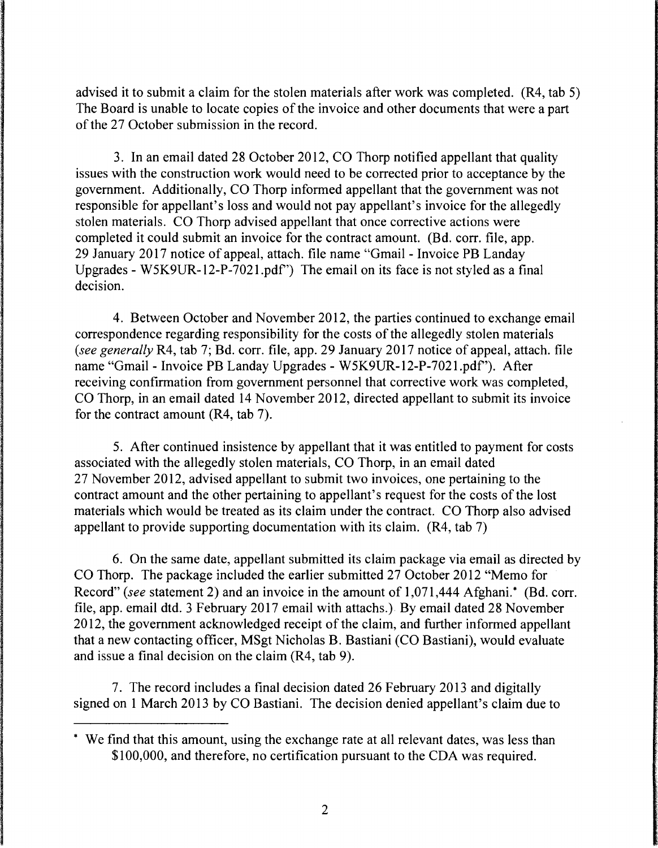advised it to submit a claim for the stolen materials after work was completed. (R4, tab 5) The Board is unable to locate copies of the invoice and other documents that were a part of the 27 October submission in the record.

3. In an email dated 28 October 2012, CO Thorp notified appellant that quality issues with the construction work would need to be corrected prior to acceptance by the government. Additionally, CO Thorp informed appellant that the government was not responsible for appellant's loss and would not pay appellant's invoice for the allegedly stolen materials. CO Thorp advised appellant that once corrective actions were completed it could submit an invoice for the contract amount. (Bd. corr. file, app. 29 January 2017 notice of appeal, attach. file name "Gmail - Invoice PB Landay Upgrades - W5K9UR-12-P-702 l.pdf') The email on its face is not styled as a final decision.

4. Between October and November 2012, the parties continued to exchange email correspondence regarding responsibility for the costs of the allegedly stolen materials *(see generally* R4, tab 7; Bd. corr. file, app. 29 January 2017 notice of appeal, attach. file name "Gmail - Invoice PB Landay Upgrades - W5K9UR-12-P-7021.pdf'). After receiving confirmation from government personnel that corrective work was completed, CO Thorp, in an email dated 14 November 2012, directed appellant to submit its invoice for the contract amount (R4, tab 7).

5. After continued insistence by appellant that it was entitled to payment for costs associated with the allegedly stolen materials, CO Thorp, in an email dated 27 November 2012, advised appellant to submit two invoices, one pertaining to the contract amount and the other pertaining to appellant's request for the costs of the lost materials which would be treated as its claim under the contract. CO Thorp also advised appellant to provide supporting documentation with its claim. (R4, tab 7)

6. On the same date, appellant submitted its claim package via email as directed by CO Thorp. The package included the earlier submitted 27 October 2012 "Memo for Record" *(see* statement 2) and an invoice in the amount of 1,071,444 Afghani.\* (Bd. corr. file, app. email dtd. 3 February 2017 email with attachs.) By email dated 28 November 2012, the government acknowledged receipt of the claim, and further informed appellant that a new contacting officer, MSgt Nicholas B. Bastiani (CO Bastiani), would evaluate and issue a final decision on the claim (R4, tab 9).

7. The record includes a final decision dated 26 February 2013 and digitally signed on 1 March 2013 by CO Bastiani. The decision denied appellant's claim due to

<sup>\*</sup> We find that this amount, using the exchange rate at all relevant dates, was less than \$100,000, and therefore, no certification pursuant to the CDA was required.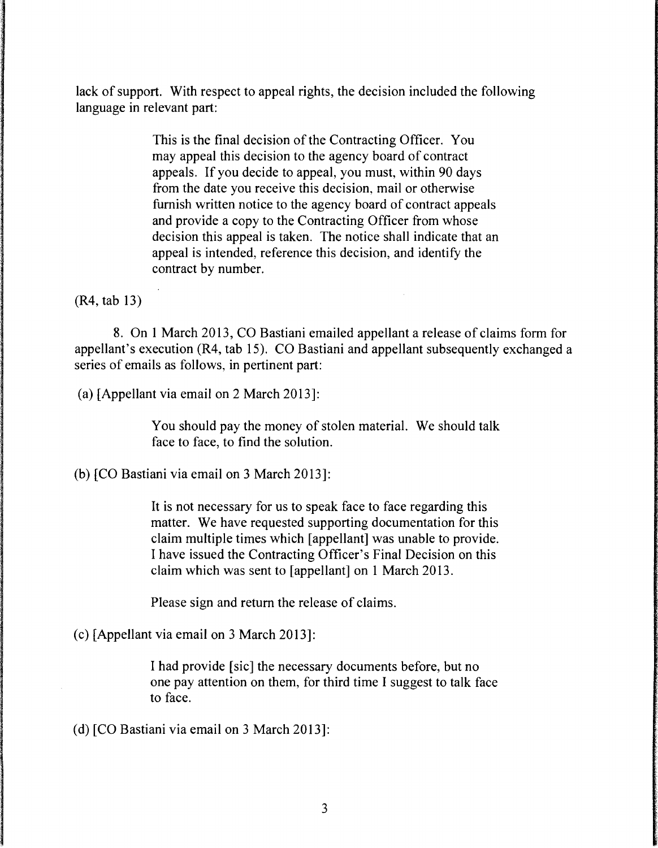lack of support. With respect to appeal rights, the decision included the following language in relevant part:

> This is the final decision of the Contracting Officer. You may appeal this decision to the agency board of contract appeals. If you decide to appeal, you must, within 90 days from the date you receive this decision, mail or otherwise furnish written notice to the agency board of contract appeals and provide a copy to the Contracting Officer from whose decision this appeal is taken. The notice shall indicate that an appeal is intended, reference this decision, and identify the contract by number.

(R4, tab 13)

8. On 1 March 2013, CO Bastiani emailed appellant a release of claims form for appellant's execution (R4, tab 15). CO Bastiani and appellant subsequently exchanged a series of emails as follows, in pertinent part:

(a) [Appellant via email on 2 March 2013]:

You should pay the money of stolen material. We should talk face to face, to find the solution.

(b) [CO Bastiani via email on 3 March 2013]:

It is not necessary for us to speak face to face regarding this matter. We have requested supporting documentation for this claim multiple times which [appellant] was unable to provide. I have issued the Contracting Officer's Final Decision on this claim which was sent to [appellant] on 1 March 2013.

Please sign and return the release of claims.

(c) [Appellant via email on 3 March 2013]:

I had provide [sic] the necessary documents before, but no one pay attention on them, for third time I suggest to talk face to face.

(d) [CO Bastiani via email on 3 March 2013]: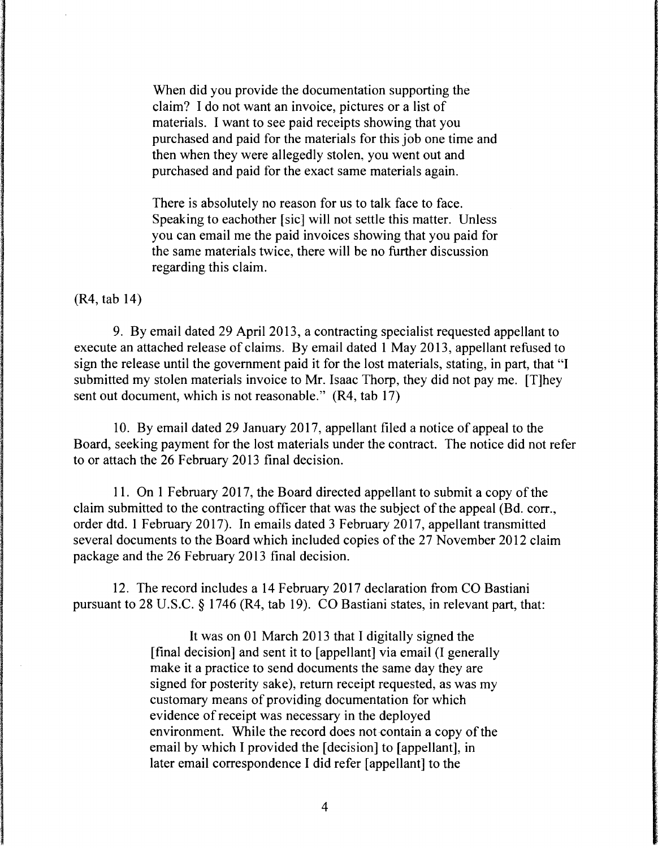When did you provide the documentation supporting the claim? I do not want an invoice, pictures or a list of materials. I want to see paid receipts showing that you purchased and paid for the materials for this job one time and then when they were allegedly stolen, you went out and purchased and paid for the exact same materials again.

There is absolutely no reason for us to talk face to face. Speaking to eachother [sic] will not settle this matter. Unless you can email me the paid invoices showing that you paid for the same materials twice, there will be no further discussion regarding this claim.

(R4, tab 14)

9. By email dated 29 April 2013, a contracting specialist requested appellant to execute an attached release of claims. By email dated 1 May 2013, appellant refused to sign the release until the government paid it for the lost materials, stating, in part, that "I submitted my stolen materials invoice to Mr. Isaac Thorp, they did not pay me. [T]hey sent out document, which is not reasonable." (R4, tab 17)

10. By email dated 29 January 2017, appellant filed a notice of appeal to the Board, seeking payment for the lost materials under the contract. The notice did not refer to or attach the 26 February 2013 final decision.

11. On 1 February 2017, the Board directed appellant to submit a copy of the claim submitted to the contracting officer that was the subject of the appeal (Bd. corr., order dtd. 1 February 2017). In emails dated 3 February 2017, appellant transmitted several documents to the Board which included copies of the 27 November 2012 claim package and the 26 February 2013 final decision.

12. The record includes a 14 February 2017 declaration from CO Bastiani pursuant to 28 U.S.C. § 1746 (R4, tab 19). CO Bastiani states, in relevant part, that:

> It was on 01 March 2013 that I digitally signed the [final decision] and sent it to [appellant] via email (I generally make it a practice to send documents the same day they are signed for posterity sake), return receipt requested, as was my customary means of providing documentation for which evidence of receipt was necessary in the deployed environment. While the record does not contain a copy of the email by which I provided the [decision] to [appellant], in later email correspondence I did refer [appellant] to the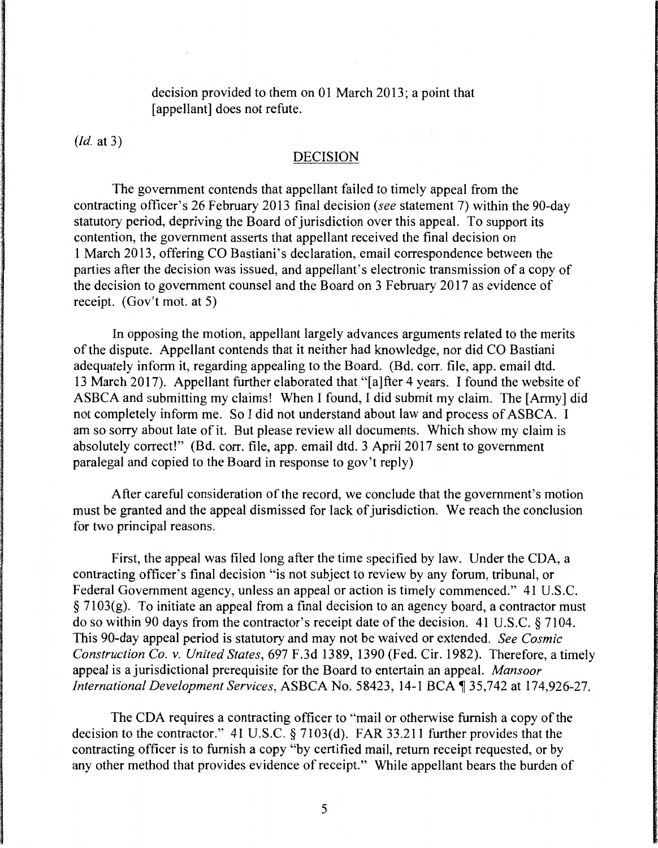decision provided to them on 01 March 2013; a point that [appellant] does not refute.

*(Id.* at 3)

#### DECISION

The government contends that appellant failed to timely appeal from the contracting officer's 26 February 2013 final decision *(see* statement 7) within the 90-day statutory period, depriving the Board of jurisdiction over this appeal. To support its contention, the government asserts that appellant received the final decision on 1March2013, offering CO Bastiani's declaration, email correspondence between the parties after the decision was issued, and appellant's electronic transmission of a copy of the decision to government counsel and the Board on 3 February 2017 as evidence of receipt. (Gov't mot. at 5)

In opposing the motion, appellant largely advances arguments related to the merits of the dispute. Appellant contends that it neither had knowledge, nor did CO Bastiani adequately inform it, regarding appealing to the Board. (Bd. corr. file, app. email dtd. 13 March 2017). Appellant further elaborated that "[a]fter 4 years. I found the website of ASBCA and submitting my claims! When I found, I did submit my claim. The [Army] did not completely inform me. So I did not understand about law and process of ASBCA. I am so sorry about late of it. But please review all documents. Which show my claim is absolutely correct!" (Bd. corr. file, app. email dtd. 3 April 2017 sent to government paralegal and copied to the Board in response to gov't reply)

After careful consideration of the record, we conclude that the government's motion must be granted and the appeal dismissed for lack of jurisdiction. We reach the conclusion for two principal reasons.

First, the appeal was filed long after the time specified by law. Under the CDA, a contracting officer's final decision "is not subject to review by any forum, tribunal, or Federal Government agency, unless an appeal or action is timely commenced." 41 U.S.C. § 7103(g). To initiate an appeal from a final decision to an agency board, a contractor must do so within 90 days from the contractor's receipt date of the decision. 41 U.S.C. § 7104. This 90-day appeal period is statutory and may not be waived or extended. *See Cosmic Construction Co. v. United States,* 697 F.3d 1389, 1390 (Fed. Cir. 1982). Therefore, a timely appeal is a jurisdictional prerequisite for the Board to entertain an appeal. *Mansoor International Development Services, ASBCA No.* 58423, 14-1 BCA 135,742 at 174,926-27.

The CDA requires a contracting officer to "mail or otherwise furnish a copy of the decision to the contractor." 41 U.S.C. § 7103(d). FAR 33.211 further provides that the contracting officer is to furnish a copy "by certified mail, return receipt requested, or by any other method that provides evidence of receipt." While appellant bears the burden of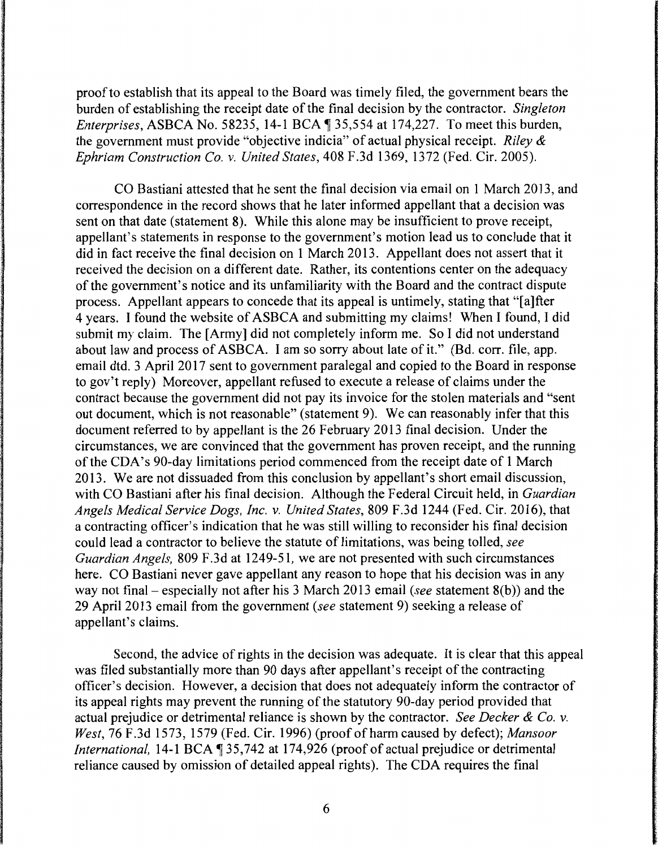proof to establish that its appeal to the Board was timely filed, the government bears the burden of establishing the receipt date of the final decision by the contractor. *Singleton Enterprises, ASBCA No. 58235, 14-1 BCA ¶ 35,554 at 174,227. To meet this burden,* the government must provide "objective indicia" of actual physical receipt. *Riley* & *Ephriam Construction Co.* v. *United States,* 408 F.3d 1369, 1372 (Fed. Cir. 2005).

CO Bastiani attested that he sent the final decision via email on 1 March 2013, and correspondence in the record shows that he later informed appellant that a decision was sent on that date (statement 8). While this alone may be insufficient to prove receipt, appellant's statements in response to the government's motion lead us to conclude that it did in fact receive the final decision on 1 March 2013. Appellant does not assert that it received the decision on a different date. Rather, its contentions center on the adequacy of the government's notice and its unfamiliarity with the Board and the contract dispute process. Appellant appears to concede that its appeal is untimely, stating that "[a]fter 4 years. I found the website of ASBCA and submitting my claims! When I found, I did submit my claim. The [Army] did not completely inform me. So I did not understand about law and process of ASBCA. I am so sorry about late of it." (Bd. corr. file, app. email dtd. 3 April 2017 sent to government paralegal and copied to the Board in response to gov't reply) Moreover, appellant refused to execute a release of claims under the contract because the government did not pay its invoice for the stolen materials and "sent out document, which is not reasonable" (statement 9). We can reasonably infer that this document referred to by appellant is the 26 February 2013 final decision. Under the circumstances, we are convinced that the government has proven receipt, and the running of the CDA's 90-day limitations period commenced from the receipt date of 1 March 2013. We are not dissuaded from this conclusion by appellant's short email discussion, with CO Bastiani after his final decision. Although the Federal Circuit held, in *Guardian Angels Medical Service Dogs, Inc.* v. *United States,* 809 F.3d 1244 (Fed. Cir. 2016), that a contracting officer's indication that he was still willing to reconsider his final decision could lead a contractor to believe the statute of limitations, was being tolled, *see Guardian Angels, 809 F.3d at 1249-51, we are not presented with such circumstances* here. CO Bastiani never gave appellant any reason to hope that his decision was in any way not final - especially not after his 3 March 2013 email *(see* statement 8(b)) and the 29 April 2013 email from the government *(see* statement 9) seeking a release of appellant's claims.

Second, the advice of rights in the decision was adequate. It is clear that this appeal was filed substantially more than 90 days after appellant's receipt of the contracting officer's decision. However, a decision that does not adequately inform the contractor of its appeal rights may prevent the running of the statutory 90-day period provided that actual prejudice or detrimental reliance is shown by the contractor. *See Decker* & *Co.* v. *West,* 76 F.3d 1573, 1579 (Fed. Cir. 1996) (proof of harm caused by defect); *Mansoor International,* 14-1 BCA \ 35,742 at 174,926 (proof of actual prejudice or detrimental reliance caused by omission of detailed appeal rights). The CDA requires the final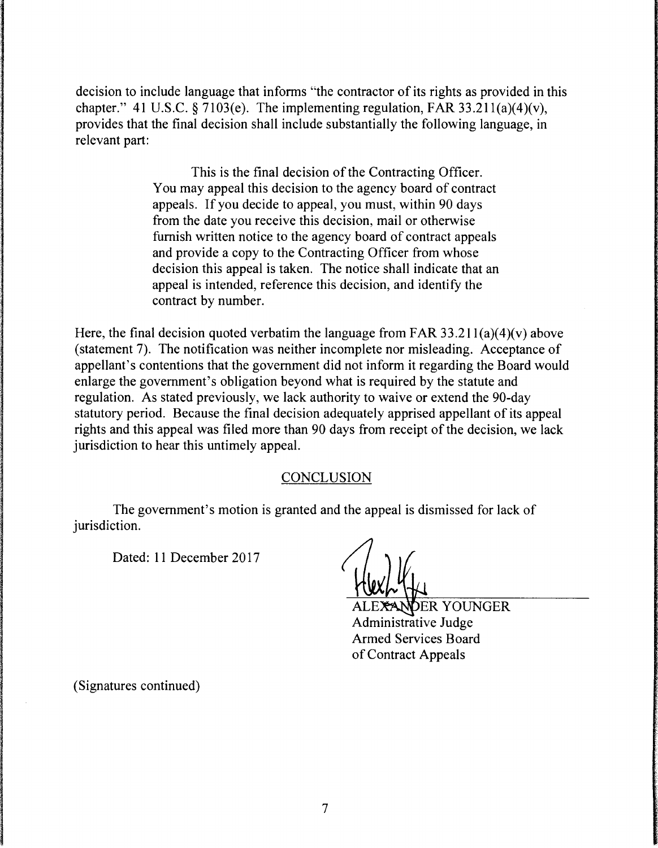decision to include language that informs "the contractor of its rights as provided in this chapter." 41 U.S.C. § 7103(e). The implementing regulation, FAR 33.211(a)(4)(v), provides that the final decision shall include substantially the following language, in relevant part:

> This is the final decision of the Contracting Officer. You may appeal this decision to the agency board of contract appeals. If you decide to appeal, you must, within 90 days from the date you receive this decision, mail or otherwise furnish written notice to the agency board of contract appeals and provide a copy to the Contracting Officer from whose decision this appeal is taken. The notice shall indicate that an appeal is intended, reference this decision, and identify the contract by number.

Here, the final decision quoted verbatim the language from FAR  $33.211(a)(4)(v)$  above (statement 7). The notification was neither incomplete nor misleading. Acceptance of appellant's contentions that the government did not inform it regarding the Board would enlarge the government's obligation beyond what is required by the statute and regulation. As stated previously, we lack authority to waive or extend the 90-day statutory period. Because the final decision adequately apprised appellant of its appeal rights and this appeal was filed more than 90 days from receipt of the decision, we lack jurisdiction to hear this untimely appeal.

### **CONCLUSION**

The government's motion is granted and the appeal is dismissed for lack of jurisdiction.

Dated: 11 December 2017

**DER YOUNGER** Administrative Judge Armed Services Board of Contract Appeals

(Signatures continued)